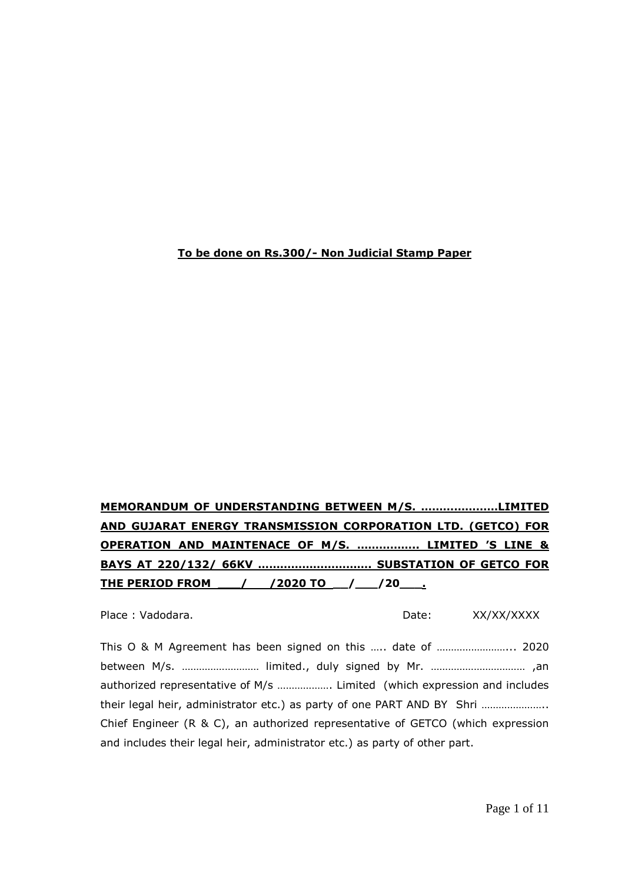#### **To be done on Rs.300/- Non Judicial Stamp Paper**

# **MEMORANDUM OF UNDERSTANDING BETWEEN M/S. …………………LIMITED AND GUJARAT ENERGY TRANSMISSION CORPORATION LTD. (GETCO) FOR OPERATION AND MAINTENACE OF M/S. …………….. LIMITED 'S LINE & BAYS AT 220/132/ 66KV …………………………. SUBSTATION OF GETCO FOR THE PERIOD FROM \_\_\_/ /2020 TO \_\_/\_\_\_/20\_\_\_.**

Place : Vadodara. Date: XX/XX/XXXX

This O & M Agreement has been signed on this ….. date of ……………………... 2020 between M/s. ……………………… limited., duly signed by Mr. …………………………… ,an authorized representative of M/s ………………. Limited (which expression and includes their legal heir, administrator etc.) as party of one PART AND BY Shri ...................... Chief Engineer  $(R \& C)$ , an authorized representative of GETCO (which expression and includes their legal heir, administrator etc.) as party of other part.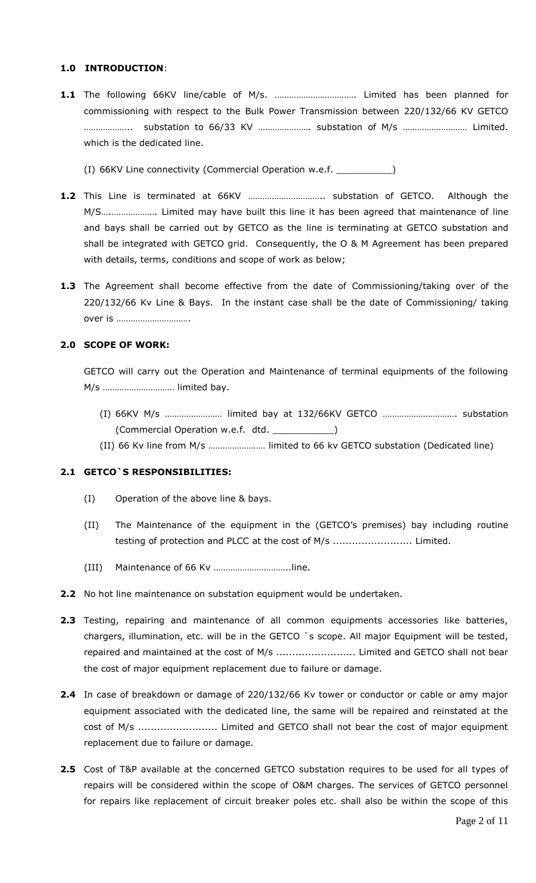#### **1.0 INTRODUCTION**:

- **1.1** The following 66KV line/cable of M/s. ……………………………. Limited has been planned for commissioning with respect to the Bulk Power Transmission between 220/132/66 KV GETCO ……………….. substation to 66/33 KV …………………. substation of M/s ……………………… Limited. which is the dedicated line.
	- (I) 66KV Line connectivity (Commercial Operation w.e.f. \_\_\_\_\_\_\_\_\_\_)
- **1.2** This Line is terminated at 66KV ………………………….. substation of GETCO. Although the M/S….………………. Limited may have built this line it has been agreed that maintenance of line and bays shall be carried out by GETCO as the line is terminating at GETCO substation and shall be integrated with GETCO grid. Consequently, the O & M Agreement has been prepared with details, terms, conditions and scope of work as below;
- **1.3** The Agreement shall become effective from the date of Commissioning/taking over of the 220/132/66 Kv Line & Bays. In the instant case shall be the date of Commissioning/ taking over is ………………………….

#### **2.0 SCOPE OF WORK:**

GETCO will carry out the Operation and Maintenance of terminal equipments of the following M/s ………………………… limited bay.

- (I) 66KV M/s …………………… limited bay at 132/66KV GETCO …………………………. substation (Commercial Operation w.e.f. dtd. \_\_\_\_\_\_\_\_\_\_\_)
- (II) 66 Kv line from M/s …………………… limited to 66 kv GETCO substation (Dedicated line)

#### **2.1 GETCO`S RESPONSIBILITIES:**

- (I) Operation of the above line & bays.
- (II) The Maintenance of the equipment in the (GETCO's premises) bay including routine testing of protection and PLCC at the cost of M/s ............................. Limited.
- (III) Maintenance of 66 Kv …………………………..line.
- **2.2** No hot line maintenance on substation equipment would be undertaken.
- **2.3** Testing, repairing and maintenance of all common equipments accessories like batteries, chargers, illumination, etc. will be in the GETCO `s scope. All major Equipment will be tested, repaired and maintained at the cost of M/s ............................. Limited and GETCO shall not bear the cost of major equipment replacement due to failure or damage.
- **2.4** In case of breakdown or damage of 220/132/66 Kv tower or conductor or cable or amy major equipment associated with the dedicated line, the same will be repaired and reinstated at the cost of M/s ......................... Limited and GETCO shall not bear the cost of major equipment replacement due to failure or damage.
- **2.5** Cost of T&P available at the concerned GETCO substation requires to be used for all types of repairs will be considered within the scope of O&M charges. The services of GETCO personnel for repairs like replacement of circuit breaker poles etc. shall also be within the scope of this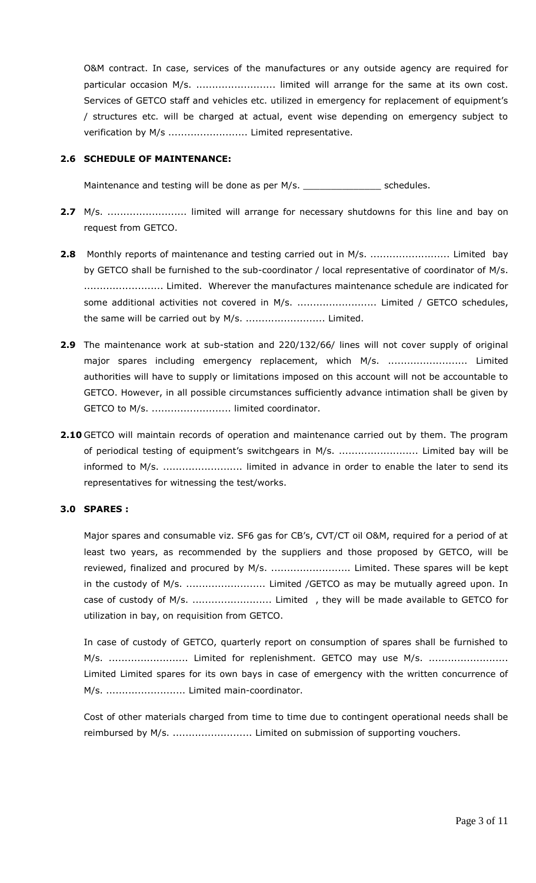O&M contract. In case, services of the manufactures or any outside agency are required for particular occasion M/s. .............................. limited will arrange for the same at its own cost. Services of GETCO staff and vehicles etc. utilized in emergency for replacement of equipment's / structures etc. will be charged at actual, event wise depending on emergency subject to verification by M/s ................................ Limited representative.

#### **2.6 SCHEDULE OF MAINTENANCE:**

Maintenance and testing will be done as per M/s. The schedules.

- **2.7** M/s. ......................... limited will arrange for necessary shutdowns for this line and bay on request from GETCO.
- 2.8 Monthly reports of maintenance and testing carried out in M/s. .............................. Limited bay by GETCO shall be furnished to the sub-coordinator / local representative of coordinator of M/s. ......................... Limited. Wherever the manufactures maintenance schedule are indicated for some additional activities not covered in M/s. ............................ Limited / GETCO schedules, the same will be carried out by M/s. ......................... Limited.
- **2.9** The maintenance work at sub-station and 220/132/66/ lines will not cover supply of original major spares including emergency replacement, which M/s. .......................... Limited authorities will have to supply or limitations imposed on this account will not be accountable to GETCO. However, in all possible circumstances sufficiently advance intimation shall be given by GETCO to M/s. ......................... limited coordinator.
- **2.10** GETCO will maintain records of operation and maintenance carried out by them. The program of periodical testing of equipment's switchgears in M/s. ......................... Limited bay will be informed to M/s. ......................... limited in advance in order to enable the later to send its representatives for witnessing the test/works.

#### **3.0 SPARES :**

Major spares and consumable viz. SF6 gas for CB's, CVT/CT oil O&M, required for a period of at least two years, as recommended by the suppliers and those proposed by GETCO, will be reviewed, finalized and procured by M/s. ............................. Limited. These spares will be kept in the custody of M/s. ............................ Limited /GETCO as may be mutually agreed upon. In case of custody of M/s. ................................ Limited , they will be made available to GETCO for utilization in bay, on requisition from GETCO.

In case of custody of GETCO, quarterly report on consumption of spares shall be furnished to M/s. ............................ Limited for replenishment. GETCO may use M/s. ......................... Limited Limited spares for its own bays in case of emergency with the written concurrence of M/s. ......................... Limited main-coordinator.

Cost of other materials charged from time to time due to contingent operational needs shall be reimbursed by M/s. ......................... Limited on submission of supporting vouchers.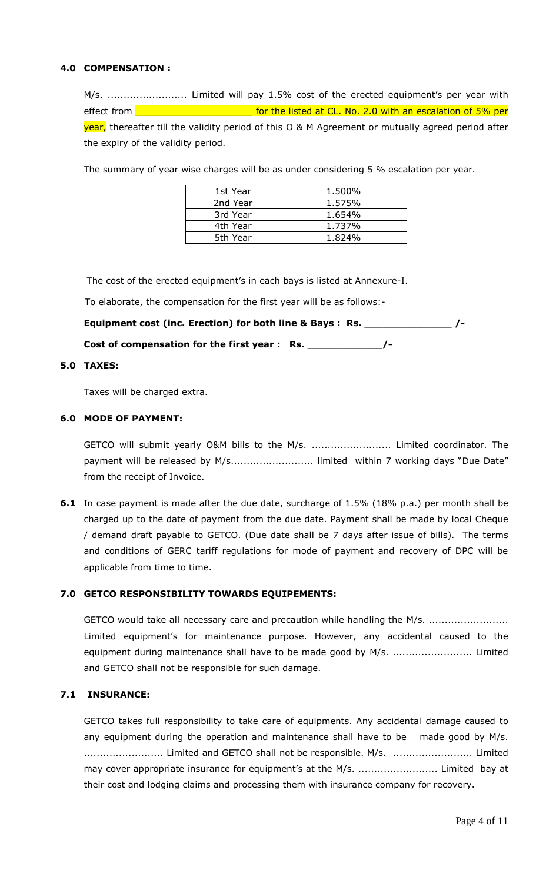#### **4.0 COMPENSATION :**

M/s. ......................... Limited will pay 1.5% cost of the erected equipment's per year with effect from **contain and all and all and all and set of the listed at CL. No. 2.0 with an escalation of 5% per** year, thereafter till the validity period of this O & M Agreement or mutually agreed period after the expiry of the validity period.

The summary of year wise charges will be as under considering 5 % escalation per year.

| 1st Year | 1.500% |
|----------|--------|
| 2nd Year | 1.575% |
| 3rd Year | 1.654% |
| 4th Year | 1.737% |
| 5th Year | 1.824% |

The cost of the erected equipment's in each bays is listed at Annexure-I.

To elaborate, the compensation for the first year will be as follows:-

**Equipment cost (inc. Erection) for both line & Bays : Rs. \_\_\_\_\_\_\_\_\_\_\_\_\_\_ /-**

**Cost of compensation for the first year : Rs. \_\_\_\_\_\_\_\_\_\_\_\_/-**

### **5.0 TAXES:**

Taxes will be charged extra.

#### **6.0 MODE OF PAYMENT:**

GETCO will submit yearly O&M bills to the M/s. ......................... Limited coordinator. The payment will be released by M/s................................ limited within 7 working days "Due Date" from the receipt of Invoice.

**6.1** In case payment is made after the due date, surcharge of 1.5% (18% p.a.) per month shall be charged up to the date of payment from the due date. Payment shall be made by local Cheque / demand draft payable to GETCO. (Due date shall be 7 days after issue of bills). The terms and conditions of GERC tariff regulations for mode of payment and recovery of DPC will be applicable from time to time.

#### **7.0 GETCO RESPONSIBILITY TOWARDS EQUIPEMENTS:**

GETCO would take all necessary care and precaution while handling the M/s. ........................ Limited equipment's for maintenance purpose. However, any accidental caused to the equipment during maintenance shall have to be made good by M/s. ........................... Limited and GETCO shall not be responsible for such damage.

#### **7.1 INSURANCE:**

GETCO takes full responsibility to take care of equipments. Any accidental damage caused to any equipment during the operation and maintenance shall have to be made good by M/s. ......................... Limited and GETCO shall not be responsible. M/s. ......................... Limited may cover appropriate insurance for equipment's at the M/s. ............................... Limited bay at their cost and lodging claims and processing them with insurance company for recovery.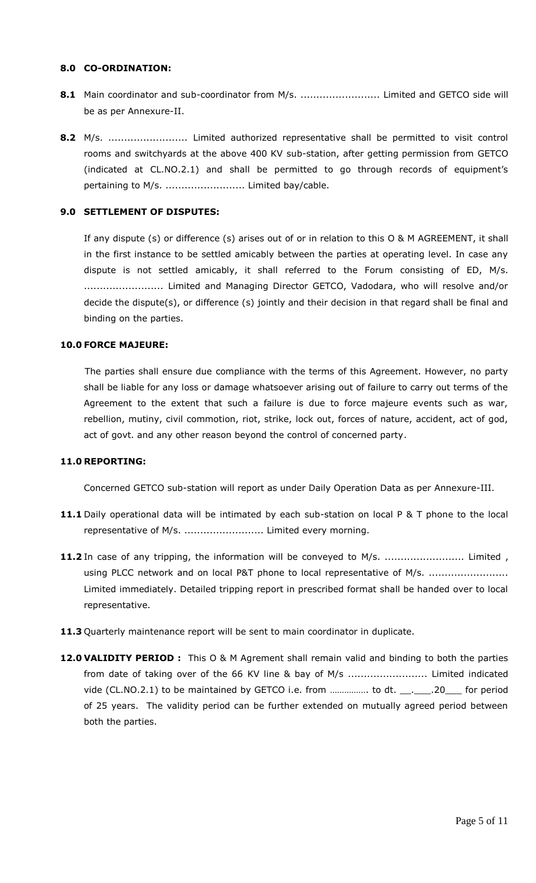#### **8.0 CO-ORDINATION:**

- **8.1** Main coordinator and sub-coordinator from M/s. ............................. Limited and GETCO side will be as per Annexure-II.
- **8.2** M/s. ......................... Limited authorized representative shall be permitted to visit control rooms and switchyards at the above 400 KV sub-station, after getting permission from GETCO (indicated at CL.NO.2.1) and shall be permitted to go through records of equipment's pertaining to M/s. .......................... Limited bay/cable.

#### **9.0 SETTLEMENT OF DISPUTES:**

If any dispute (s) or difference (s) arises out of or in relation to this O & M AGREEMENT, it shall in the first instance to be settled amicably between the parties at operating level. In case any dispute is not settled amicably, it shall referred to the Forum consisting of ED, M/s. ......................... Limited and Managing Director GETCO, Vadodara, who will resolve and/or decide the dispute(s), or difference (s) jointly and their decision in that regard shall be final and binding on the parties.

#### **10.0 FORCE MAJEURE:**

 The parties shall ensure due compliance with the terms of this Agreement. However, no party shall be liable for any loss or damage whatsoever arising out of failure to carry out terms of the Agreement to the extent that such a failure is due to force majeure events such as war, rebellion, mutiny, civil commotion, riot, strike, lock out, forces of nature, accident, act of god, act of govt. and any other reason beyond the control of concerned party.

#### **11.0 REPORTING:**

Concerned GETCO sub-station will report as under Daily Operation Data as per Annexure-III.

- **11.1** Daily operational data will be intimated by each sub-station on local P & T phone to the local representative of M/s. ............................. Limited every morning.
- **11.2** In case of any tripping, the information will be conveyed to M/s. ............................... Limited, using PLCC network and on local P&T phone to local representative of M/s. ........................ Limited immediately. Detailed tripping report in prescribed format shall be handed over to local representative.
- **11.3** Quarterly maintenance report will be sent to main coordinator in duplicate.
- 12.0 VALIDITY PERIOD : This O & M Agrement shall remain valid and binding to both the parties from date of taking over of the 66 KV line & bay of M/s ............................... Limited indicated vide (CL.NO.2.1) to be maintained by GETCO i.e. from ................ to dt. \_\_. \_\_\_.20\_\_\_ for period of 25 years. The validity period can be further extended on mutually agreed period between both the parties.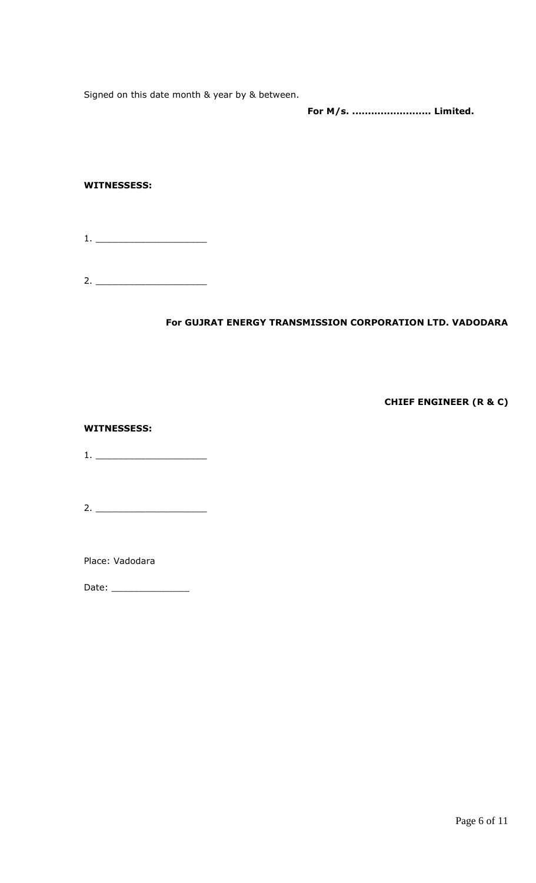Signed on this date month & year by & between.

**For M/s. ......................... Limited.**

## **WITNESSESS:**

1. \_\_\_\_\_\_\_\_\_\_\_\_\_\_\_\_\_\_\_\_

2. \_\_\_\_\_\_\_\_\_\_\_\_\_\_\_\_\_\_\_\_

## **For GUJRAT ENERGY TRANSMISSION CORPORATION LTD. VADODARA**

**CHIEF ENGINEER (R & C)** 

**WITNESSESS:**

1. \_\_\_\_\_\_\_\_\_\_\_\_\_\_\_\_\_\_\_\_

2. \_\_\_\_\_\_\_\_\_\_\_\_\_\_\_\_\_\_\_\_

Place: Vadodara

Date: \_\_\_\_\_\_\_\_\_\_\_\_\_\_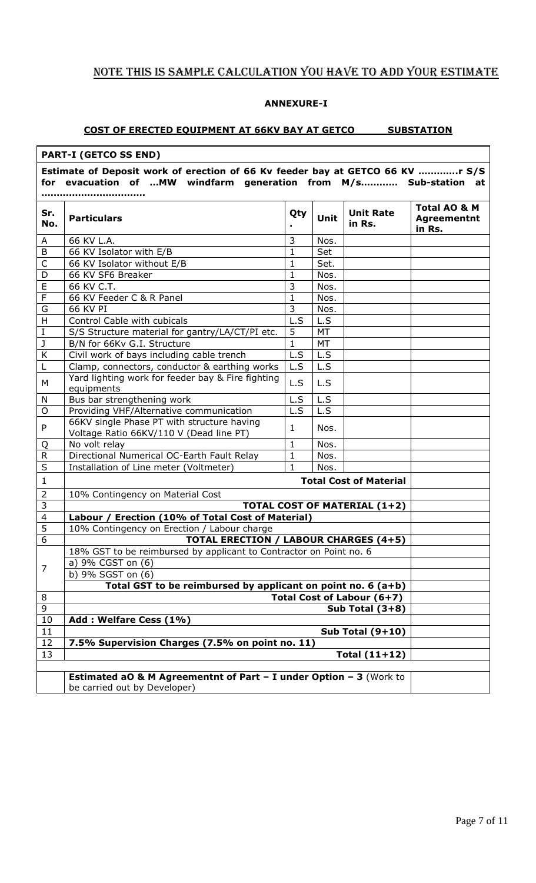# NOTE THIS IS SAMPLE CALCULATION YOU HAVE TO ADD YOUR ESTIMATE

### **ANNEXURE-I**

### **COST OF ERECTED EQUIPMENT AT 66KV BAY AT GETCO SUBSTATION**

| <b>PART-I (GETCO SS END)</b>                                                                                                                          |                                                                                                               |                |      |                               |                                              |
|-------------------------------------------------------------------------------------------------------------------------------------------------------|---------------------------------------------------------------------------------------------------------------|----------------|------|-------------------------------|----------------------------------------------|
| Estimate of Deposit work of erection of 66 Kv feeder bay at GETCO 66 KV r S/S<br>evacuation of  MW windfarm generation from M/s Sub-station at<br>for |                                                                                                               |                |      |                               |                                              |
|                                                                                                                                                       |                                                                                                               |                |      |                               |                                              |
| Sr.<br>No.                                                                                                                                            | <b>Particulars</b>                                                                                            | Qty            | Unit | <b>Unit Rate</b><br>in Rs.    | Total AO & M<br><b>Agreementnt</b><br>in Rs. |
| A                                                                                                                                                     | 66 KV L.A.                                                                                                    | 3              | Nos. |                               |                                              |
| B                                                                                                                                                     | 66 KV Isolator with E/B                                                                                       | $\mathbf{1}$   | Set  |                               |                                              |
| C                                                                                                                                                     | 66 KV Isolator without E/B                                                                                    | $\mathbf{1}$   | Set. |                               |                                              |
| D                                                                                                                                                     | 66 KV SF6 Breaker                                                                                             | $\mathbf{1}$   | Nos. |                               |                                              |
| E                                                                                                                                                     | 66 KV C.T.                                                                                                    | 3              | Nos. |                               |                                              |
| $\mathsf F$                                                                                                                                           | 66 KV Feeder C & R Panel                                                                                      | $\mathbf{1}$   | Nos. |                               |                                              |
| G                                                                                                                                                     | 66 KV PI                                                                                                      | $\overline{3}$ | Nos. |                               |                                              |
| H                                                                                                                                                     | Control Cable with cubicals                                                                                   | L.S            | L.S  |                               |                                              |
| $\rm I$                                                                                                                                               | S/S Structure material for gantry/LA/CT/PI etc.                                                               | 5              | MT   |                               |                                              |
| $\mathsf J$                                                                                                                                           | B/N for 66Kv G.I. Structure                                                                                   | $\mathbf{1}$   | MT   |                               |                                              |
| К                                                                                                                                                     | Civil work of bays including cable trench                                                                     | L.S            | L.S  |                               |                                              |
| L                                                                                                                                                     | Clamp, connectors, conductor & earthing works                                                                 | L.S            | L.S  |                               |                                              |
| M                                                                                                                                                     | Yard lighting work for feeder bay & Fire fighting<br>equipments                                               | L.S            | L.S  |                               |                                              |
| ${\sf N}$                                                                                                                                             | Bus bar strengthening work                                                                                    | L.S            | L.S  |                               |                                              |
| $\circ$                                                                                                                                               | Providing VHF/Alternative communication                                                                       | L.S            | L.S  |                               |                                              |
| P                                                                                                                                                     | 66KV single Phase PT with structure having<br>Voltage Ratio 66KV/110 V (Dead line PT)                         | 1              | Nos. |                               |                                              |
| Q                                                                                                                                                     | No volt relay                                                                                                 | $\mathbf{1}$   | Nos. |                               |                                              |
| R                                                                                                                                                     | Directional Numerical OC-Earth Fault Relay                                                                    | 1              | Nos. |                               |                                              |
| S                                                                                                                                                     | Installation of Line meter (Voltmeter)                                                                        | 1              | Nos. |                               |                                              |
| $\mathbf{1}$                                                                                                                                          |                                                                                                               |                |      | <b>Total Cost of Material</b> |                                              |
| $\overline{2}$                                                                                                                                        | 10% Contingency on Material Cost                                                                              |                |      |                               |                                              |
| 3                                                                                                                                                     | TOTAL COST OF MATERIAL (1+2)                                                                                  |                |      |                               |                                              |
| $\overline{4}$                                                                                                                                        | Labour / Erection (10% of Total Cost of Material)                                                             |                |      |                               |                                              |
| 5                                                                                                                                                     | 10% Contingency on Erection / Labour charge                                                                   |                |      |                               |                                              |
| $\boldsymbol{6}$                                                                                                                                      | <b>TOTAL ERECTION / LABOUR CHARGES (4+5)</b>                                                                  |                |      |                               |                                              |
|                                                                                                                                                       | 18% GST to be reimbursed by applicant to Contractor on Point no. 6                                            |                |      |                               |                                              |
| $\overline{7}$                                                                                                                                        | a) 9% CGST on (6)                                                                                             |                |      |                               |                                              |
|                                                                                                                                                       | b) 9% SGST on (6)                                                                                             |                |      |                               |                                              |
|                                                                                                                                                       | Total GST to be reimbursed by applicant on point no. 6 $(a+b)$                                                |                |      |                               |                                              |
| 8                                                                                                                                                     | Total Cost of Labour (6+7)                                                                                    |                |      |                               |                                              |
| 9                                                                                                                                                     | Sub Total $(3+8)$                                                                                             |                |      |                               |                                              |
| 10                                                                                                                                                    | Add: Welfare Cess (1%)                                                                                        |                |      |                               |                                              |
| 11                                                                                                                                                    |                                                                                                               |                |      | Sub Total $(9+10)$            |                                              |
| 12                                                                                                                                                    | 7.5% Supervision Charges (7.5% on point no. 11)                                                               |                |      |                               |                                              |
| 13                                                                                                                                                    |                                                                                                               |                |      | Total $(11+12)$               |                                              |
|                                                                                                                                                       |                                                                                                               |                |      |                               |                                              |
|                                                                                                                                                       | <b>Estimated aO &amp; M Agreementnt of Part - I under Option - 3 (Work to</b><br>be carried out by Developer) |                |      |                               |                                              |
|                                                                                                                                                       |                                                                                                               |                |      |                               |                                              |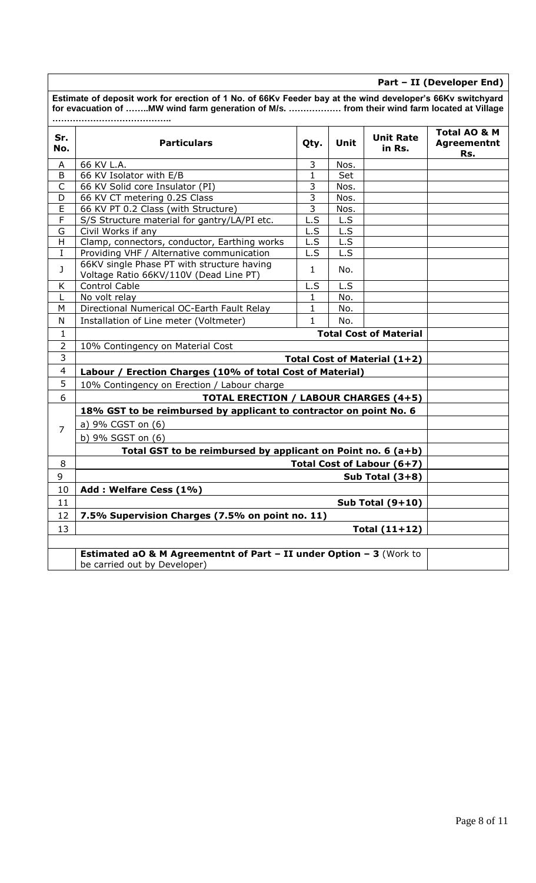|                | Estimate of deposit work for erection of 1 No. of 66Kv Feeder bay at the wind developer's 66Kv switchyard<br>for evacuation of MW wind farm generation of M/s.  from their wind farm located at Village |                |      |                               |                                           |
|----------------|---------------------------------------------------------------------------------------------------------------------------------------------------------------------------------------------------------|----------------|------|-------------------------------|-------------------------------------------|
| Sr.<br>No.     | <b>Particulars</b>                                                                                                                                                                                      | Qty.           | Unit | <b>Unit Rate</b><br>in Rs.    | Total AO & M<br><b>Agreementnt</b><br>Rs. |
| A              | 66 KV L.A.                                                                                                                                                                                              | 3              | Nos. |                               |                                           |
| B              | 66 KV Isolator with E/B                                                                                                                                                                                 | 1              | Set  |                               |                                           |
| $\mathsf{C}$   | 66 KV Solid core Insulator (PI)                                                                                                                                                                         | 3              | Nos. |                               |                                           |
| D              | 66 KV CT metering 0.2S Class                                                                                                                                                                            | 3              | Nos. |                               |                                           |
| E              | 66 KV PT 0.2 Class (with Structure)                                                                                                                                                                     | $\overline{3}$ | Nos. |                               |                                           |
| F              | S/S Structure material for gantry/LA/PI etc.                                                                                                                                                            | L.S            | L.S  |                               |                                           |
| G              | Civil Works if any                                                                                                                                                                                      | L.S            | L.S  |                               |                                           |
| H              | Clamp, connectors, conductor, Earthing works                                                                                                                                                            | L.S            | L.S  |                               |                                           |
| $\bf{I}$       | Providing VHF / Alternative communication                                                                                                                                                               | L.S            | L.S  |                               |                                           |
| J              | 66KV single Phase PT with structure having<br>Voltage Ratio 66KV/110V (Dead Line PT)                                                                                                                    | $\mathbf{1}$   | No.  |                               |                                           |
| K              | <b>Control Cable</b>                                                                                                                                                                                    | L.S            | L.S  |                               |                                           |
| L              | No volt relay                                                                                                                                                                                           | $\mathbf{1}$   | No.  |                               |                                           |
| M              | Directional Numerical OC-Earth Fault Relay                                                                                                                                                              | $\mathbf{1}$   | No.  |                               |                                           |
| N              | Installation of Line meter (Voltmeter)                                                                                                                                                                  | $\mathbf{1}$   | No.  |                               |                                           |
| 1              |                                                                                                                                                                                                         |                |      | <b>Total Cost of Material</b> |                                           |
| $\overline{2}$ | 10% Contingency on Material Cost                                                                                                                                                                        |                |      |                               |                                           |
| 3              | Total Cost of Material (1+2)                                                                                                                                                                            |                |      |                               |                                           |
| $\overline{4}$ | Labour / Erection Charges (10% of total Cost of Material)                                                                                                                                               |                |      |                               |                                           |
| 5              | 10% Contingency on Erection / Labour charge                                                                                                                                                             |                |      |                               |                                           |
| 6              | <b>TOTAL ERECTION / LABOUR CHARGES (4+5)</b>                                                                                                                                                            |                |      |                               |                                           |
|                | 18% GST to be reimbursed by applicant to contractor on point No. 6                                                                                                                                      |                |      |                               |                                           |
| $\overline{7}$ | a) 9% CGST on (6)                                                                                                                                                                                       |                |      |                               |                                           |
|                | b) 9% SGST on (6)                                                                                                                                                                                       |                |      |                               |                                           |
|                | Total GST to be reimbursed by applicant on Point no. 6 (a+b)                                                                                                                                            |                |      |                               |                                           |
| 8              |                                                                                                                                                                                                         |                |      | Total Cost of Labour (6+7)    |                                           |
| 9              |                                                                                                                                                                                                         |                |      | Sub Total $(3+8)$             |                                           |
| 10             | Add: Welfare Cess (1%)                                                                                                                                                                                  |                |      |                               |                                           |
| 11             |                                                                                                                                                                                                         |                |      | Sub Total $(9+10)$            |                                           |
| 12             | 7.5% Supervision Charges (7.5% on point no. 11)                                                                                                                                                         |                |      |                               |                                           |
| 13             |                                                                                                                                                                                                         |                |      | Total $(11+12)$               |                                           |
|                |                                                                                                                                                                                                         |                |      |                               |                                           |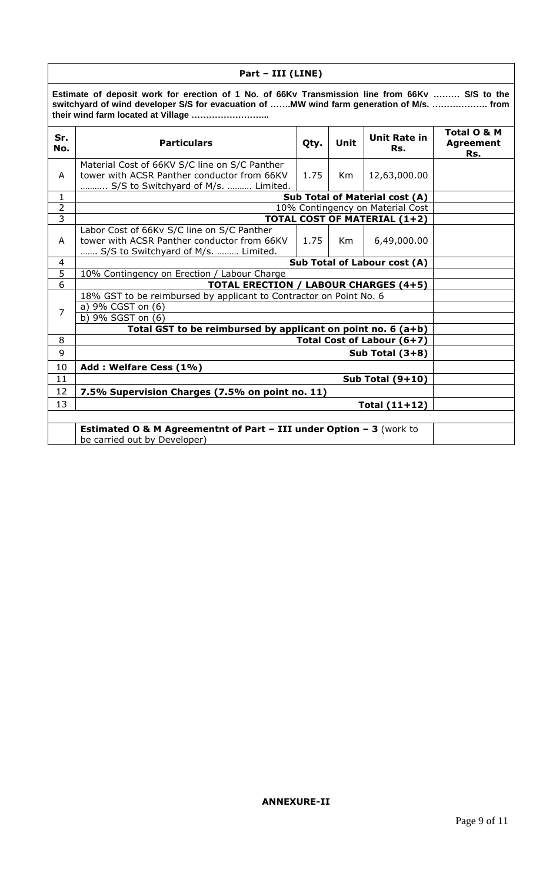| Part - III (LINE) |                                                                                                                                                                                                                                  |      |    |                                        |  |
|-------------------|----------------------------------------------------------------------------------------------------------------------------------------------------------------------------------------------------------------------------------|------|----|----------------------------------------|--|
|                   | Estimate of deposit work for erection of 1 No. of 66Kv Transmission line from 66Kv  S/S to the<br>switchyard of wind developer S/S for evacuation of MW wind farm generation of M/s.  from<br>their wind farm located at Village |      |    |                                        |  |
| Sr.<br>No.        | <b>Unit Rate in</b><br><b>Particulars</b><br>Unit<br>Qty.<br>Rs.                                                                                                                                                                 |      |    | Total O & M<br><b>Agreement</b><br>Rs. |  |
| A                 | Material Cost of 66KV S/C line on S/C Panther<br>tower with ACSR Panther conductor from 66KV<br>S/S to Switchyard of M/s.  Limited.                                                                                              | 1.75 | Km | 12,63,000.00                           |  |
| $\mathbf{1}$      |                                                                                                                                                                                                                                  |      |    | <b>Sub Total of Material cost (A)</b>  |  |
| $\overline{2}$    |                                                                                                                                                                                                                                  |      |    | 10% Contingency on Material Cost       |  |
| $\overline{3}$    |                                                                                                                                                                                                                                  |      |    | <b>TOTAL COST OF MATERIAL (1+2)</b>    |  |
| A                 | Labor Cost of 66Kv S/C line on S/C Panther<br>tower with ACSR Panther conductor from 66KV<br>S/S to Switchyard of M/s.  Limited.                                                                                                 | 1.75 | Km | 6,49,000.00                            |  |
| $\overline{4}$    | Sub Total of Labour cost (A)                                                                                                                                                                                                     |      |    |                                        |  |
|                   | 5<br>10% Contingency on Erection / Labour Charge                                                                                                                                                                                 |      |    |                                        |  |
|                   | 6<br><b>TOTAL ERECTION / LABOUR CHARGES (4+5)</b>                                                                                                                                                                                |      |    |                                        |  |
| $\overline{7}$    | 18% GST to be reimbursed by applicant to Contractor on Point No. 6<br>a) 9% CGST on (6)<br>b) 9% SGST on (6)                                                                                                                     |      |    |                                        |  |
| 8                 | Total GST to be reimbursed by applicant on point no. $6(a+b)$                                                                                                                                                                    |      |    |                                        |  |
| 9                 | Total Cost of Labour (6+7)                                                                                                                                                                                                       |      |    |                                        |  |
|                   |                                                                                                                                                                                                                                  |      |    | Sub Total $(3+8)$                      |  |
| 10                | Add: Welfare Cess (1%)                                                                                                                                                                                                           |      |    |                                        |  |
| 11                |                                                                                                                                                                                                                                  |      |    | Sub Total $(9+10)$                     |  |
| 12                | 7.5% Supervision Charges (7.5% on point no. 11)                                                                                                                                                                                  |      |    |                                        |  |
| 13                |                                                                                                                                                                                                                                  |      |    | Total $(11+12)$                        |  |
|                   |                                                                                                                                                                                                                                  |      |    |                                        |  |
|                   | <b>Estimated O &amp; M Agreementnt of Part - III under Option - 3</b> (work to<br>be carried out by Developer)                                                                                                                   |      |    |                                        |  |
|                   |                                                                                                                                                                                                                                  |      |    |                                        |  |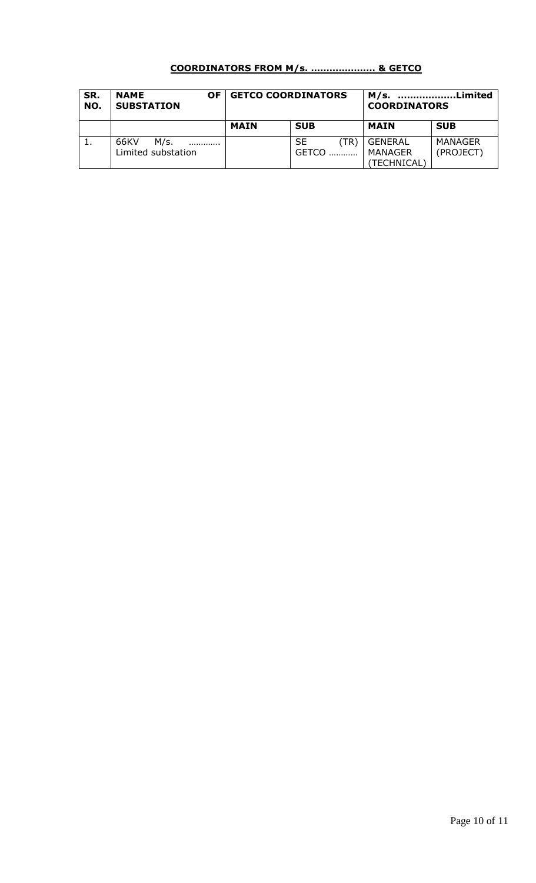# **COORDINATORS FROM M/s. ………………… & GETCO**

| SR.<br>NO. | <b>NAME</b><br>ΟF<br><b>SUBSTATION</b> | <b>GETCO COORDINATORS</b> |                            | Limited<br>M/s.<br><b>COORDINATORS</b>   |                      |
|------------|----------------------------------------|---------------------------|----------------------------|------------------------------------------|----------------------|
|            |                                        | <b>MAIN</b>               | <b>SUB</b>                 | MAIN                                     | <b>SUB</b>           |
| <b>.</b>   | 66KV<br>M/s.<br><br>Limited substation |                           | SE<br>(TR)<br><b>GETCO</b> | <b>GENERAL</b><br>MANAGER<br>(TECHNICAL) | MANAGER<br>(PROJECT) |